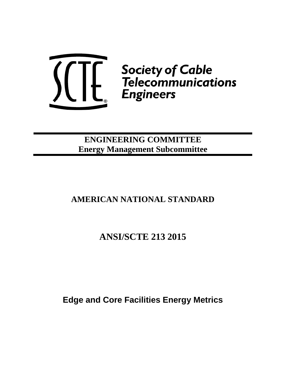

## **ENGINEERING COMMITTEE Energy Management Subcommittee**

# **AMERICAN NATIONAL STANDARD**

# **ANSI/SCTE 213 2015**

**Edge and Core Facilities Energy Metrics**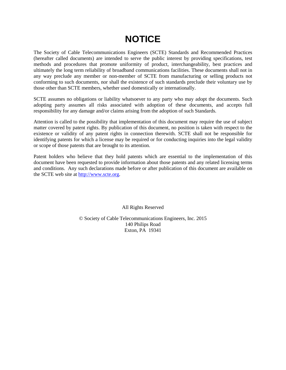# **NOTICE**

The Society of Cable Telecommunications Engineers (SCTE) Standards and Recommended Practices (hereafter called documents) are intended to serve the public interest by providing specifications, test methods and procedures that promote uniformity of product, interchangeability, best practices and ultimately the long term reliability of broadband communications facilities. These documents shall not in any way preclude any member or non-member of SCTE from manufacturing or selling products not conforming to such documents, nor shall the existence of such standards preclude their voluntary use by those other than SCTE members, whether used domestically or internationally.

SCTE assumes no obligations or liability whatsoever to any party who may adopt the documents. Such adopting party assumes all risks associated with adoption of these documents, and accepts full responsibility for any damage and/or claims arising from the adoption of such Standards.

Attention is called to the possibility that implementation of this document may require the use of subject matter covered by patent rights. By publication of this document, no position is taken with respect to the existence or validity of any patent rights in connection therewith. SCTE shall not be responsible for identifying patents for which a license may be required or for conducting inquiries into the legal validity or scope of those patents that are brought to its attention.

Patent holders who believe that they hold patents which are essential to the implementation of this document have been requested to provide information about those patents and any related licensing terms and conditions. Any such declarations made before or after publication of this document are available on the SCTE web site at [http://www.scte.org.](http://www.scte.org/)

All Rights Reserved

© Society of Cable Telecommunications Engineers, Inc. 2015 140 Philips Road Exton, PA 19341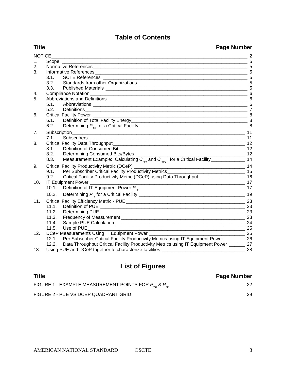## **Table of Contents**

| <b>Title</b>   |                                                                                                                                                                                                                                               | <b>Page Number</b>                                                        |
|----------------|-----------------------------------------------------------------------------------------------------------------------------------------------------------------------------------------------------------------------------------------------|---------------------------------------------------------------------------|
| <b>NOTICE</b>  |                                                                                                                                                                                                                                               | $= 2$                                                                     |
| 1.             |                                                                                                                                                                                                                                               | 5                                                                         |
| 2.             |                                                                                                                                                                                                                                               | 5                                                                         |
| 3.             |                                                                                                                                                                                                                                               | 5                                                                         |
|                | 3.1.                                                                                                                                                                                                                                          |                                                                           |
|                | 3.2.                                                                                                                                                                                                                                          |                                                                           |
|                | 3.3.                                                                                                                                                                                                                                          |                                                                           |
| 4.             | Compliance Notation                                                                                                                                                                                                                           |                                                                           |
| 5.             |                                                                                                                                                                                                                                               |                                                                           |
|                | 5.1.                                                                                                                                                                                                                                          | 6                                                                         |
|                | 5.2.                                                                                                                                                                                                                                          |                                                                           |
| 6.             |                                                                                                                                                                                                                                               |                                                                           |
|                | 6.1.                                                                                                                                                                                                                                          |                                                                           |
|                | 6.2.                                                                                                                                                                                                                                          |                                                                           |
| 7 <sub>1</sub> | Subscription_<br><u> 2000 - 2000 - 2000 - 2000 - 2000 - 2000 - 2000 - 2000 - 2000 - 2000 - 2000 - 2000 - 2000 - 2000 - 2000 - 200</u>                                                                                                         | 11                                                                        |
|                | 7.1.<br><b>Subscribers</b>                                                                                                                                                                                                                    |                                                                           |
| 8.             |                                                                                                                                                                                                                                               |                                                                           |
|                | <u>2</u> 12<br>Definition of Consumed Bit<br>8.1.                                                                                                                                                                                             |                                                                           |
|                | 8.2.                                                                                                                                                                                                                                          |                                                                           |
|                | 8.3.                                                                                                                                                                                                                                          |                                                                           |
| 9.             | Per Subscriber Critical Facility Productivity Metrics<br>Per Subscriber Critical Facility Productivity Metrics<br>Critical Facility Productivity Metric (DCeP) using Data Throughs of<br>Critical Facility Productivity Metric (DCeP)         |                                                                           |
|                | 9.1.                                                                                                                                                                                                                                          |                                                                           |
|                | 9.2.                                                                                                                                                                                                                                          |                                                                           |
| 10.            | IT Equipment Power                                                                                                                                                                                                                            |                                                                           |
|                | 10.1.                                                                                                                                                                                                                                         |                                                                           |
|                | Determining $P_{1T}$ for a Critical Facility<br>10.2.                                                                                                                                                                                         | 19                                                                        |
| 11.            |                                                                                                                                                                                                                                               | 23                                                                        |
|                | 11.1.<br>Definition of PUE                                                                                                                                                                                                                    | 23                                                                        |
|                | 11.2.<br>Determining PUE <b>contract to the contract of the contract of the contract of the contract of the contract of the contract of the contract of the contract of the contract of the contract of the contract of the contract of t</b> | 23                                                                        |
|                | 11.3.                                                                                                                                                                                                                                         | 23                                                                        |
|                | 11.4.                                                                                                                                                                                                                                         | 24                                                                        |
|                | 11.5.<br>Use of PUE                                                                                                                                                                                                                           | 25                                                                        |
| 12.            | DCeP Measurements Using IT Equipment Power _                                                                                                                                                                                                  | $\begin{array}{c c} \hline \text{---} & \text{---} \\ \hline \end{array}$ |
|                | 12.1.<br>Per Subscriber Critical Facility Productivity Metrics using IT Equipment Power ___________ 26                                                                                                                                        |                                                                           |
|                | 12.2.<br>Data Throughput Critical Facility Productivity Metrics using IT Equipment Power _______ 27                                                                                                                                           |                                                                           |
| 13.            | Using PUE and DCeP together to characterize facilities _                                                                                                                                                                                      | 28                                                                        |

## **List of Figures**

| <b>Title</b>                                                  | <b>Page Number</b> |
|---------------------------------------------------------------|--------------------|
| FIGURE 1 - EXAMPLE MEASUREMENT POINTS FOR $P_{TE}$ & $P_{IT}$ |                    |
| FIGURE 2 - PUE VS DCEP QUADRANT GRID                          | 29                 |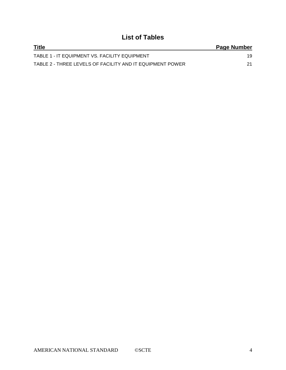## **List of Tables**

| <b>Title</b>                                              | Page Number |
|-----------------------------------------------------------|-------------|
| TABLE 1 - IT EQUIPMENT VS. FACILITY EQUIPMENT             | 19          |
| TABLE 2 - THREE LEVELS OF FACILITY AND IT EQUIPMENT POWER |             |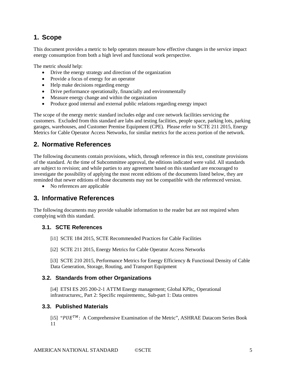## **1. Scope**

This document provides a metric to help operators measure how effective changes in the service impact energy consumption from both a high level and functional work perspective.

The metric *should* help:

- Drive the energy strategy and direction of the organization
- Provide a focus of energy for an operator
- Help make decisions regarding energy
- Drive performance operationally, financially and environmentally
- Measure energy change and within the organization
- Produce good internal and external public relations regarding energy impact

The scope of the energy metric standard includes edge and core network facilities servicing the customers. Excluded from this standard are labs and testing facilities, people space, parking lots, parking garages, warehouses, and Customer Premise Equipment (CPE). Please refer to SCTE 211 2015, Energy Metrics for Cable Operator Access Networks, for similar metrics for the access portion of the network*.*

## **2. Normative References**

The following documents contain provisions, which, through reference in this text, constitute provisions of the standard. At the time of Subcommittee approval, the editions indicated were valid. All standards are subject to revision; and while parties to any agreement based on this standard are encouraged to investigate the possibility of applying the most recent editions of the documents listed below, they are reminded that newer editions of those documents may not be compatible with the referenced version.

• No references are applicable

## **3. Informative References**

The following documents may provide valuable information to the reader but are not required when complying with this standard.

### **3.1. SCTE References**

- [i1] SCTE 184 2015, SCTE Recommended Practices for Cable Facilities
- [i2] SCTE 211 2015, Energy Metrics for Cable Operator Access Networks

[i3] SCTE 210 2015, Performance Metrics for Energy Efficiency & Functional Density of Cable Data Generation, Storage, Routing, and Transport Equipment

### **3.2. Standards from other Organizations**

[i4] ETSI ES 205 200-2-1 ATTM Energy management; Global KPIs;, Operational infrastructures;, Part 2: Specific requirements;, Sub-part 1: Data centres

### **3.3. Published Materials**

[i5] " $PUE^{TM}$ : A Comprehensive Examination of the Metric", ASHRAE Datacom Series Book 11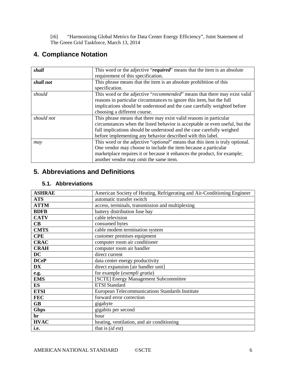[i6] "Harmonizing Global Metrics for Data Center Energy Efficiency", Joint Statement of The Green Grid Taskforce, March 13, 2014

## **4. Compliance Notation**

| shall                                                                                         | This word or the adjective "required" means that the item is an absolute     |  |  |
|-----------------------------------------------------------------------------------------------|------------------------------------------------------------------------------|--|--|
|                                                                                               | requirement of this specification.                                           |  |  |
| shall not                                                                                     | This phrase means that the item is an absolute prohibition of this           |  |  |
|                                                                                               | specification.                                                               |  |  |
| should                                                                                        | This word or the adjective "recommended" means that there may exist valid    |  |  |
|                                                                                               | reasons in particular circumstances to ignore this item, but the full        |  |  |
|                                                                                               | implications should be understood and the case carefully weighted before     |  |  |
|                                                                                               | choosing a different course.                                                 |  |  |
| should not                                                                                    | This phrase means that there may exist valid reasons in particular           |  |  |
|                                                                                               | circumstances when the listed behavior is acceptable or even useful, but the |  |  |
|                                                                                               | full implications should be understood and the case carefully weighed        |  |  |
|                                                                                               | before implementing any behavior described with this label.                  |  |  |
| This word or the adjective " <i>optional</i> " means that this item is truly optional.<br>may |                                                                              |  |  |
|                                                                                               | One vendor may choose to include the item because a particular               |  |  |
|                                                                                               | marketplace requires it or because it enhances the product, for example;     |  |  |
|                                                                                               | another vendor may omit the same item.                                       |  |  |

## **5. Abbreviations and Definitions**

## **5.1. Abbreviations**

| <b>ASHRAE</b>        | American Society of Heating, Refrigerating and Air-Conditioning Engineer |  |  |
|----------------------|--------------------------------------------------------------------------|--|--|
| <b>ATS</b>           | automatic transfer switch                                                |  |  |
| <b>ATTM</b>          | access, terminals, transmission and multiplexing                         |  |  |
| <b>BDFB</b>          | battery distribution fuse bay                                            |  |  |
| <b>CATV</b>          | cable television                                                         |  |  |
| $\mathbf C\mathbf B$ | consumed bytes                                                           |  |  |
| <b>CMTS</b>          | cable modem termination system                                           |  |  |
| <b>CPE</b>           | customer premises equipment                                              |  |  |
| <b>CRAC</b>          | computer room air conditioner                                            |  |  |
| <b>CRAH</b>          | computer room air handler                                                |  |  |
| DC                   | direct current                                                           |  |  |
| <b>DCeP</b>          | data center energy productivity                                          |  |  |
| <b>DX</b>            | direct expansion [air handler unit]                                      |  |  |
| e.g.                 | for example (exempli gratia)                                             |  |  |
| <b>EMS</b>           | [SCTE] Energy Management Subcommittee                                    |  |  |
| ES                   | <b>ETSI</b> Standard                                                     |  |  |
| <b>ETSI</b>          | European Telecommunications Standards Institute                          |  |  |
| <b>FEC</b>           | forward error correction                                                 |  |  |
| <b>GB</b>            | gigabyte                                                                 |  |  |
| <b>Gbps</b>          | gigabits per second                                                      |  |  |
| hr                   | hour                                                                     |  |  |
| <b>HVAC</b>          | heating, ventilation, and air conditioning                               |  |  |
| i.e.                 | that is <i>(id est)</i>                                                  |  |  |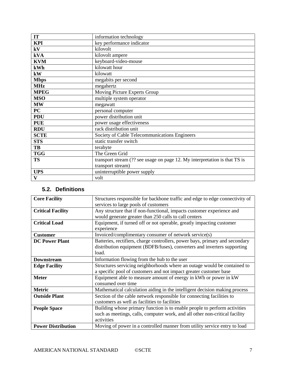| IT          | information technology                                                     |
|-------------|----------------------------------------------------------------------------|
| <b>KPI</b>  | key performance indicator                                                  |
| kV          | kilovolt                                                                   |
| kVA         | kilovolt ampere                                                            |
| <b>KVM</b>  | keyboard-video-mouse                                                       |
| kWh         | kilowatt hour                                                              |
| kW          | kilowatt                                                                   |
| <b>Mbps</b> | megabits per second                                                        |
| <b>MHz</b>  | megahertz                                                                  |
| <b>MPEG</b> | Moving Picture Experts Group                                               |
| <b>MSO</b>  | multiple system operator                                                   |
| <b>MW</b>   | megawatt                                                                   |
| PC          | personal computer                                                          |
| <b>PDU</b>  | power distribution unit                                                    |
| <b>PUE</b>  | power usage effectiveness                                                  |
| <b>RDU</b>  | rack distribution unit                                                     |
| <b>SCTE</b> | Society of Cable Telecommunications Engineers                              |
| <b>STS</b>  | static transfer switch                                                     |
| TB          | terabyte                                                                   |
| <b>TGG</b>  | The Green Grid                                                             |
| <b>TS</b>   | transport stream (?? see usage on page 12. My interpretation is that TS is |
|             | transport stream)                                                          |
| <b>UPS</b>  | uninterruptible power supply                                               |
| V           | volt                                                                       |

## **5.2. Definitions**

| <b>Core Facility</b>                                                     | Structures responsible for backbone traffic and edge to edge connectivity of |  |  |
|--------------------------------------------------------------------------|------------------------------------------------------------------------------|--|--|
|                                                                          | services to large pools of customers                                         |  |  |
| <b>Critical Facility</b>                                                 | Any structure that if non-functional, impacts customer experience and        |  |  |
|                                                                          | would generate greater than 250 calls to call centers                        |  |  |
| <b>Critical Load</b>                                                     | Equipment, if turned off or not operable, greatly impacting customer         |  |  |
|                                                                          | experience                                                                   |  |  |
| Invoiced/complimentary consumer of network service(s)<br><b>Customer</b> |                                                                              |  |  |
| <b>DC Power Plant</b>                                                    | Batteries, rectifiers, charge controllers, power bays, primary and secondary |  |  |
|                                                                          | distribution equipment (BDFB/fuses), converters and inverters supporting     |  |  |
|                                                                          | load.                                                                        |  |  |
| <b>Downstream</b>                                                        | Information flowing from the hub to the user                                 |  |  |
| <b>Edge Facility</b>                                                     | Structures servicing neighborhoods where an outage would be contained to     |  |  |
|                                                                          | a specific pool of customers and not impact greater customer base            |  |  |
| <b>Meter</b>                                                             | Equipment able to measure amount of energy in kWh or power in kW             |  |  |
|                                                                          | consumed over time                                                           |  |  |
| <b>Metric</b>                                                            | Mathematical calculation aiding in the intelligent decision making process   |  |  |
| <b>Outside Plant</b>                                                     | Section of the cable network responsible for connecting facilities to        |  |  |
|                                                                          | customers as well as facilities to facilities                                |  |  |
| <b>People Space</b>                                                      | Building whose primary function is to enable people to perform activities    |  |  |
|                                                                          | such as meetings, calls, computer work, and all other non-critical facility  |  |  |
|                                                                          | activities                                                                   |  |  |
| <b>Power Distribution</b>                                                | Moving of power in a controlled manner from utility service entry to load    |  |  |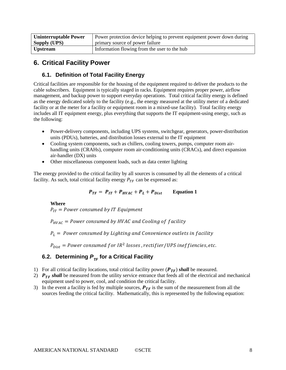| <b>Uninterruptable Power</b> | Power protection device helping to prevent equipment power down during |  |  |
|------------------------------|------------------------------------------------------------------------|--|--|
| <b>Supply (UPS)</b>          | primary source of power failure                                        |  |  |
| <b>Upstream</b>              | Information flowing from the user to the hub                           |  |  |

## <span id="page-7-2"></span>**6. Critical Facility Power**

## <span id="page-7-1"></span>**6.1. Definition of Total Facility Energy**

Critical facilities are responsible for the housing of the equipment required to deliver the products to the cable subscribers. Equipment is typically staged in racks. Equipment requires proper power, airflow management, and backup power to support everyday operations. Total critical facility energy is defined as the energy dedicated solely to the facility (e.g., the energy measured at the utility meter of a dedicated facility or at the meter for a facility or equipment room in a mixed-use facility). Total facility energy includes all IT equipment energy, plus everything that supports the IT equipment-using energy, such as the following:

- Power-delivery components, including UPS systems, switchgear, generators, power-distribution units (PDUs), batteries, and distribution losses external to the IT equipment
- Cooling system components, such as chillers, cooling towers, pumps, computer room airhandling units (CRAHs), computer room air-conditioning units (CRACs), and direct expansion air-handler (DX) units
- Other miscellaneous component loads, such as data center lighting

The energy provided to the critical facility by all sources is consumed by all the elements of a critical facility. As such, total critical facility energy  $P_{TF}$  can be expressed as:

 $P_{TF} = P_{IT} + P_{HVAC} + P_L + P_{Dist}$  Equation 1

### **Where**

 $P_{IT}$  = Power consumed by IT Equipment

 $P_{HVAC}$  = Power consumed by HVAC and Cooling of facility

 $P_L$  = Power consumed by Lighting and Convenience outlets in facility

 $P_{Dist}$  = Power consumed for IR<sup>2</sup> losses, rectifier/UPS ineffiencies, etc.

## <span id="page-7-0"></span>**6.2. Determining P<sub>re</sub> for a Critical Facility**

- 1) For all critical facility locations, total critical facility power  $(P_{TF})$  shall be measured.
- 2)  $P_{TF}$  shall be measured from the utility service entrance that feeds all of the electrical and mechanical equipment used to power, cool, and condition the critical facility.
- 3) In the event a facility is fed by multiple sources,  $P_{TF}$  is the sum of the measurement from all the sources feeding the critical facility. Mathematically, this is represented by the following equation: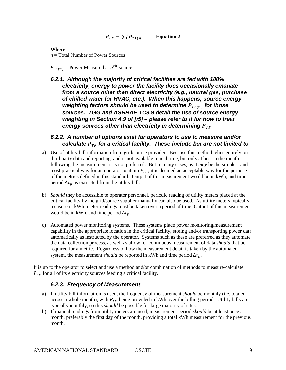$$
P_{TF} = \sum_{1}^{n} P_{TF(n)} \qquad \text{Equation 2}
$$

#### **Where**

*n* = Total Number of Power Sources

 $P_{TF(n)}$  = Power Measured at  $n^{th}$  source

*6.2.1. Although the majority of critical facilities are fed with 100% electricity, energy to power the facility does occasionally emanate from a source other than direct electricity (e.g., natural gas, purchase of chilled water for HVAC, etc.). When this happens, source energy weighting factors should be used to determine*  $P_{TF(n)}$  *for those sources. TGG and ASHRAE TC9.9 detail the use of source energy weighting in Section 4.9 of [i5] – please refer to it for how to treat energy sources other than electricity in determining* 

## *6.2.2. A number of options exist for operators to use to measure and/or calculate for a critical facility. These include but are not limited to*

- a) Use of utility bill information from grid/source provider. Because this method relies entirely on third party data and reporting, and is not available in real time, but only at best in the month following the measurement, it is not preferred. But in many cases, as it *may* be the simplest and most practical way for an operator to attain  $P_{TF}$ , it is deemed an acceptable way for the purpose of the metrics defined in this standard. Output of this measurement would be in kWh, and time period  $\Delta t_p$  as extracted from the utility bill.
- b) *Should* they be accessible to operator personnel, periodic reading of utility meters placed at the critical facility by the grid/source supplier manually can also be used. As utility meters typically measure in kWh, meter readings must be taken over a period of time. Output of this measurement would be in kWh, and time period  $\Delta t_p$ .
- c) Automated power monitoring systems. These systems place power monitoring/measurement capability in the appropriate location in the critical facility, storing and/or transporting power data automatically as instructed by the operator. Systems such as these are preferred as they automate the data collection process, as well as allow for continuous measurement of data *should* that be required for a metric. Regardless of how the measurement detail is taken by the automated system, the measurement *should* be reported in kWh and time period  $\Delta t_p$ .

It is up to the operator to select and use a method and/or combination of methods to measure/calculate  $P_{TF}$  for all of its electricity sources feeding a critical facility.

## *6.2.3. Frequency of Measurement*

- a) If utility bill information is used, the frequency of measurement *should* be monthly (i.e. totaled across a whole month), with  $P_{TF}$  being provided in kWh over the billing period. Utility bills are typically monthly, so this *should* be possible for large majority of sites.
- b) If manual readings from utility meters are used, measurement period *should* be at least once a month, preferably the first day of the month, providing a total kWh measurement for the previous month.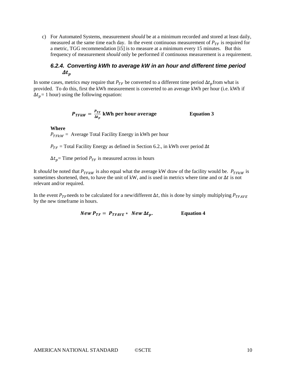c) For Automated Systems, measurement *should* be at a minimum recorded and stored at least daily, measured at the same time each day. In the event continuous measurement of  $P_{TF}$  is required for a metric, TGG recommendation [i5] is to measure at a minimum every 15 minutes. But this frequency of measurement *should* only be performed if continuous measurement is a requirement.

## <span id="page-9-0"></span>*6.2.4. Converting kWh to average kW in an hour and different time period*   $\varDelta t_p$

In some cases, metrics *may* require that  $P_{TF}$  be converted to a different time period  $\Delta t_p$  from what is provided. To do this, first the kWh measurement is converted to an average kWh per hour (i.e. kWh if  $\Delta t_p = 1$  hour) using the following equation:

$$
P_{TFkW} = \frac{P_{TF}}{\Delta t_p}
$$
 kWh per hour average Equation 3

#### **Where**

 $P_{TFkW}$  = Average Total Facility Energy in kWh per hour

 $P_{TF}$  = Total Facility Energy as defined in Section [6.2.](#page-7-0), in kWh over period  $\Delta t$ 

 $\Delta t_p$  = Time period  $P_{TF}$  is measured across in hours

It *should* be noted that  $P_{TFkW}$  is also equal what the average kW draw of the facility would be.  $P_{TFkW}$  is sometimes shortened, then, to have the unit of kW, and is used in metrics where time and or  $\Delta t$  is not relevant and/or required.

In the event  $P_{TF}$  needs to be calculated for a new/different  $\Delta t$ , this is done by simply multiplying  $P_{TFAVE}$ by the new timeframe in hours.

$$
New P_{TF} = P_{TFAVE} * New \Delta t_p.
$$
 Equation 4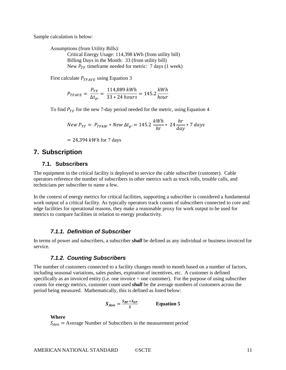Sample calculation is below:

Assumptions (from Utility Bills): Critical Energy Usage: 114,398 kWh (from utility bill)

Billing Days in the Month: 33 (from utility bill) New  $P_{TF}$  timeframe needed for metric: 7 days (1 week)

First calculate  $P_{TFAVE}$  using Equation 3

$$
P_{TFAVE} = \frac{P_{TF}}{\Delta t_p} = \frac{114,889 \, kWh}{33 \times 24 \, hours} = 145.2 \frac{kWh}{hour}
$$

To find  $P_{TF}$  for the new 7-day period needed for the metric, using Equation 4

$$
New\ P_{TF} = P_{TFkW} * New\ \Delta t_p = 145.2 \ \frac{kWh}{hr} * 24 \frac{hr}{day} * 7 \ days
$$

 $= 24,394$  kWh for 7 days

## <span id="page-10-0"></span>**7. Subscription**

## **7.1. Subscribers**

The equipment in the critical facility is deployed to service the cable subscriber (customer). Cable operators reference the number of subscribers in other metrics such as truck rolls, trouble calls, and technicians per subscriber to name a few.

In the context of energy metrics for critical facilities, supporting a subscriber is considered a fundamental work output of a critical facility. As typically operators track counts of subscribers connected to core and edge facilities for operational reasons, they make a reasonable proxy for work output to be used for metrics to compare facilities in relation to energy productivity.

#### *7.1.1. Definition of Subscriber*

In terms of power and subscribers, a subscriber *shall* be defined as any individual or business invoiced for service.

#### *7.1.2. Counting Subscribers*

The number of customers connected to a facility changes month to month based on a number of factors, including seasonal variations, sales pushes, expiration of incentives, etc. A customer is defined specifically as an invoiced entity (i.e. one invoice = one customer). For the purpose of using subscriber counts for energy metrics, customer count used *shall* be the average numbers of customers across the period being measured. Mathematically, this is defined as listed below:

$$
S_{Ave} = \frac{S_{BP} + S_{EP}}{2}
$$
 Equation 5

**Where**

 $S_{Ave}$  = Average Number of Subscribers in the measurement period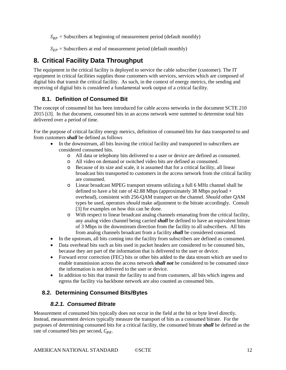$S_{BP}$  = Subscribers at beginning of measurement period (default monthly)

 $S_{EP}$  = Subscribers at end of measurement period (default monthly)

## <span id="page-11-1"></span>**8. Critical Facility Data Throughput**

The equipment in the critical facility is deployed to service the cable subscriber (customer). The IT equipment in critical facilities supplies those customers with services, services which are composed of digital bits that transit the critical facility. As such, in the context of energy metrics, the sending and receiving of digital bits is considered a fundamental work output of a critical facility.

## <span id="page-11-0"></span>**8.1. Definition of Consumed Bit**

The concept of consumed bit has been introduced for cable access networks in the document SCTE 210 2015 [i3]. In that document, consumed bits in an access network were summed to determine total bits delivered over a period of time.

For the purpose of critical facility energy metrics, definition of consumed bits for data transported to and from customers *shall* be defined as follows

- In the downstream, all bits leaving the critical facility and transported to subscribers are considered consumed bits.
	- o All data or telephony bits delivered to a user or device are defined as consumed.
	- o All video on demand or switched video bits are defined as consumed.
	- o Because of its size and scale, it is assumed that for a critical facility, all linear broadcast bits transported to customers in the access network from the critical facility are consumed.
	- o Linear broadcast MPEG transport streams utilizing a full 6 MHz channel shall be defined to have a bit rate of 42.88 Mbps (approximately 38 Mbps payload  $+$ overhead), consistent with 256-QAM transport on the channel. *Should* other QAM types be used, operators *should* make adjustment to the bitrate accordingly. Consult [3] for examples on how this can be done.
	- o With respect to linear broadcast analog channels emanating from the critical facility, any analog video channel being carried *shall* be defined to have an equivalent bitrate of 3 Mbps in the downstream direction from the facility to all subscribers. All bits from analog channels broadcast from a facility *shall* be considered consumed.
- In the upstream, all bits coming into the facility from subscribers are defined as consumed.
- Data overhead bits such as bits used in packet headers are considered to be consumed bits, because they are part of the information that is delivered to the user or device.
- Forward error correction (FEC) bits or other bits added to the data stream which are used to enable transmission across the access network *shall not* be considered to be consumed since the information is not delivered to the user or device.
- In addition to bits that transit the facility to and from customers, all bits which ingress and egress the facility via backbone network are also counted as consumed bits.

## **8.2. Determining Consumed Bits/Bytes**

## *8.2.1. Consumed Bitrate*

Measurement of consumed bits typically does not occur in the field at the bit or byte level directly. Instead, measurement devices typically measure the transport of bits as a consumed bitrate. For the purposes of determining consumed bits for a critical facility, the consumed bitrate *shall* be defined as the rate of consumed bits per second,  $C_{BR}$ .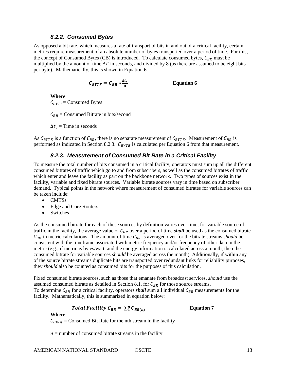#### *8.2.2. Consumed Bytes*

<span id="page-12-1"></span>As opposed a bit rate, which measures a rate of transport of bits in and out of a critical facility, certain metrics require measurement of an absolute number of bytes transported over a period of time. For this, the concept of Consumed Bytes (CB) is introduced. To calculate consumed bytes,  $C_{BR}$  must be multiplied by the amount of time  $\Delta T$  in seconds, and divided by 8 (as there are assumed to be eight bits per byte). Mathematically, this is shown in Equation 6.

$$
C_{BYTE} = C_{BR} * \frac{\Delta t_c}{8}
$$
 Equation 6

**Where**  $C_{BYTE}$ = Consumed Bytes

 $C_{BR}$  = Consumed Bitrate in bits/second

 $\Delta t_c$  = Time in seconds

<span id="page-12-0"></span>As  $C_{BYTE}$  is a function of  $C_{BR}$ , there is no separate measurement of  $C_{BYTE}$ . Measurement of  $C_{BR}$  is performed as indicated in Section [8.2.3.](#page-12-0)  $C_{BYTE}$  is calculated per Equation 6 from that measurement.

## *8.2.3. Measurement of Consumed Bit Rate in a Critical Facility*

To measure the total number of bits consumed in a critical facility, operators must sum up all the different consumed bitrates of traffic which go to and from subscribers, as well as the consumed bitrates of traffic which enter and leave the facility as part on the backbone network. Two types of sources exist in the facility, variable and fixed bitrate sources. Variable bitrate sources vary in time based on subscriber demand. Typical points in the network where measurement of consumed bitrates for variable sources can be taken include:

- CMTSs
- Edge and Core Routers
- Switches

As the consumed bitrate for each of these sources by definition varies over time, for variable source of traffic in the facility, the average value of  $C_{BR}$  over a period of time *shall* be used as the consumed bitrate  $C_{BR}$  in metric calculations. The amount of time  $C_{BR}$  is averaged over for the bitrate streams *should* be consistent with the timeframe associated with metric frequency and/or frequency of other data in the metric (e.g., if metric is bytes/watt, and the energy information is calculated across a month, then the consumed bitrate for variable sources *should* be averaged across the month). Additionally, if within any of the source bitrate streams duplicate bits are transported over redundant links for reliability purposes, they *should* also be counted as consumed bits for the purposes of this calculation.

Fixed consumed bitrate sources, such as those that emanate from broadcast services, *should* use the assumed consumed bitrate as detailed in Section [8.1.](#page-11-0) for  $C_{BR}$  for those source streams. To determine  $C_{BR}$  for a critical facility, operators *shall* sum all individual  $C_{BR}$  measurements for the facility. Mathematically, this is summarized in equation below:

Total Facility 
$$
C_{BR} = \sum_{1}^{n} C_{BR(n)}
$$
 Equation 7

#### **Where**

 $C_{BR(n)}$ = Consumed Bit Rate for the nth stream in the facility

 $n =$  number of consumed bitrate streams in the facility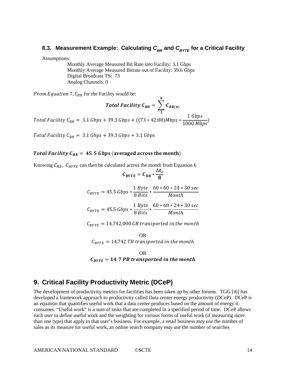## <span id="page-13-0"></span>**8.3. Measurement Example: Calculating**  $C_{BR}$  **and**  $C_{BYTE}$  **for a Critical Facility**

Assumptions:

Monthly Average Measured Bit Rate into Facility: 3.1 Gbps Monthly Average Measured Bitrate out of Facility: 39.6 Gbps Digital Broadcast TS: 73 Analog Channels: 0

From Equation 7,  $C_{BR}$  for the Facility would be:

$$
Total Facility C_{BR} = \sum_{1}^{N} C_{BR(n)}
$$

 $\boldsymbol{n}$ 

*Facility*  $C_{BR} = 3.1 \text{ Gbps} + 39.3 \text{ Gbps} + ((73 * 42.88) \text{Mbps} * \frac{1 \text{ Gbps}}{1000 \text{ Mbps}})$ 

Total Facility  $C_{BR} = 3.1 Gbps + 39.3 Gbps + 3.1 Gbps$ 

#### Total Facility  $C_{BR} = 45.5$  Gbps (averaged across the month)

Knowing  $C_{BR}$ ,  $C_{BYTE}$  can then be calculated across the month from Equation 6

$$
C_{BYTE} = C_{BR} * \frac{\Delta t_c}{8}
$$
  

$$
C_{BYTE} = 45.5 \text{ Gbps} * \frac{1 \text{ Byte}}{8 \text{ Bits}} * \frac{60 * 60 * 24 * 30 \text{ sec}}{Month}
$$
  

$$
C_{BYTE} = 45.5 \text{ Gbps} * \frac{1 \text{ Byte}}{8 \text{ Bits}} * \frac{60 * 60 * 24 * 30 \text{ sec}}{Month}
$$

 $C_{BYTE} = 14,742,000$  GB transported in the month

OR  $C_{BVTE} = 14,742$  TB transported in the month

OR  $C_{BYTE} = 14.7$  PB transported in the month

## <span id="page-13-1"></span>**9. Critical Facility Productivity Metric (DCeP)**

The development of productivity metrics for facilities has been taken up by other forums. TGG [i6] has developed a framework approach to productivity called Data center energy productivity (DCeP). DCeP is an equation that quantifies useful work that a data center produces based on the amount of energy it consumes. "Useful work" is a sum of tasks that are completed in a specified period of time. DCeP allows each user to define useful work and the weighting for various forms of useful work (if measuring more than one type) that apply to that user's business. For example, a retail business *may* use the number of sales as its measure for useful work, an online search company *may* use the number of searches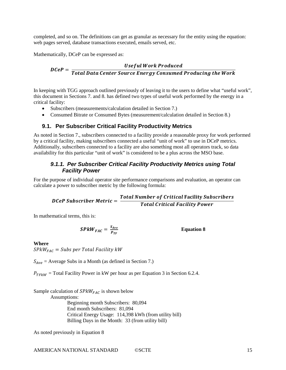completed, and so on. The definitions can get as granular as necessary for the entity using the equation: web pages served, database transactions executed, emails served, etc.

Mathematically, DCeP can be expressed as:

# Useful Work Produced<br>DCeP = <mark>Total Data Center Source Energy Consumed Producing th</mark>

In keeping with TGG approach outlined previously of leaving it to the users to define what "useful work", this document in Sections [7.](#page-10-0) an[d 8.](#page-11-1) has defined two types of useful work performed by the energy in a critical facility:

- Subscribers (measurements/calculation detailed in Section [7.](#page-10-0))
- Consumed Bitrate or Consumed Bytes (measurement/calculation detailed in Section [8.](#page-11-1))

## **9.1. Per Subscriber Critical Facility Productivity Metrics**

As noted in Section [7.](#page-10-0), subscribers connected to a facility provide a reasonable proxy for work performed by a critical facility, making subscribers connected a useful "unit of work" to use in DCeP metrics. Additionally, subscribers connected to a facility are also something most all operators track, so data availability for this particular "unit of work" is considered to be a plus across the MSO base.

## *9.1.1. Per Subscriber Critical Facility Productivity Metrics using Total Facility Power*

For the purpose of individual operator site performance comparisons and evaluation, an operator can calculate a power to subscriber metric by the following formula:

**DC**CP Subscripter Metric = 
$$
\frac{Total Number of Critical Facility Subscripts}{Total Critical Facility Power}
$$

In mathematical terms, this is:

$$
SPkW_{FAC} = \frac{S_{Ave}}{P_{TF}}
$$

**Equation 8**

#### **Where**

 $SPkW_{FAC}$  = Subs per Total Facility kW

 $S_{Ave}$  = Average Subs in a Month (as defined in Section [7.](#page-10-0))

 $P_{TFkW}$  = Total Facility Power in kW per hour as per Equation 3 in Section [6.2.4.](#page-9-0)

Sample calculation of  $SPkW_{FAC}$  is shown below Assumptions: Beginning month Subscribers: 80,094 End month Subscribers: 81,094 Critical Energy Usage: 114,398 kWh (from utility bill) Billing Days in the Month: 33 (from utility bill)

As noted previously in Equation 8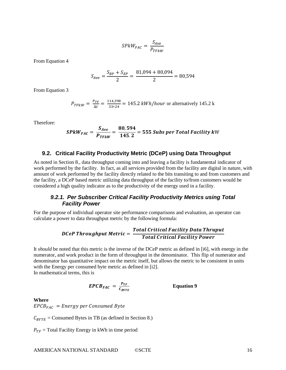$$
SPkW_{FAC} = \frac{S_{Ave}}{P_{TFkW}}
$$

From Equation 4

$$
S_{Ave} = \frac{S_{BP} + S_{EP}}{2} = \frac{81,094 + 80,094}{2} = 80,594
$$

From Equation 3

$$
P_{TFkW} = \frac{P_{TF}}{\Delta t} = \frac{114,398}{33*24} = 145.2 \, kWh/hour \text{ or alternatively } 145.2 \, \text{k}
$$

Therefore:

$$
SPkW_{FAC} = \frac{S_{Ave}}{P_{TFkW}} = \frac{80,594}{145.2} = 555 \text{ Subs per Total Facility kW}
$$

#### **9.2. Critical Facility Productivity Metric (DCeP) using Data Throughput**

As noted in Section [8.](#page-11-1), data throughput coming into and leaving a facility is fundamental indicator of work performed by the facility. In fact, as all services provided from the facility are digital in nature, with amount of work performed by the facility directly related to the bits transiting to and from customers and the facility, a DCeP based metric utilizing data throughput of the facility to/from customers would be considered a high quality indicator as to the productivity of the energy used in a facility.

### *9.2.1. Per Subscriber Critical Facility Productivity Metrics using Total Facility Power*

For the purpose of individual operator site performance comparisons and evaluation, an operator can calculate a power to data throughput metric by the following formula:

# DCeP Throughput Metric =  $\frac{Total \ Critical \ Facility \ Data}{Total \ Critical \ Facility \ Pov}$

It *should* be noted that this metric is the inverse of the DCeP metric as defined in [i6], with energy in the numerator, and work product in the form of throughput in the denominator. This flip of numerator and denominator has quantitative impact on the metric itself, but allows the metric to be consistent in units with the Energy per consumed byte metric as defined in [i2]. In mathematical terms, this is

$$
EPCB_{FAC} = \frac{P_{TF}}{C_{BYTE}} \qquad \qquad \text{Equation 9}
$$

#### **Where**

 $EPCB_{FAC} = Energy per Consumed Byte$ 

 $C_{BYTE}$  = Consumed Bytes in TB (as defined in Section [8.](#page-11-1))

 $P_{TF}$  = Total Facility Energy in kWh in time period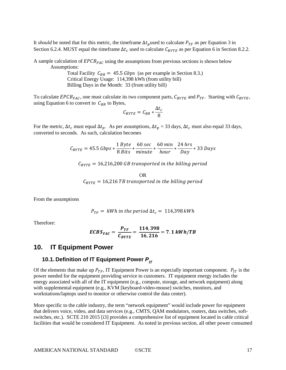It *should* be noted that for this metric, the timeframe  $\Delta t_p$  used to calculate  $P_{TF}$  as per Equation 3 in Sectio[n 6.2.4.](#page-9-0) MUST equal the timeframe  $\Delta t_c$  used to calculate  $C_{BYTE}$  as per Equation 6 in Section [8.2.2.](#page-12-1)

A sample calculation of  $EPCB_{FAC}$  using the assumptions from previous sections is shown below Assumptions:

> Total Facility  $C_{BR} = 45.5 \text{ Gbps}$  (as per example in Section [8.3.](#page-13-0)) Critical Energy Usage: 114,398 kWh (from utility bill) Billing Days in the Month: 33 (from utility bill)

To calculate EPCB<sub>FAC</sub>, one must calculate its two component parts,  $C_{BYTE}$  and  $P_{TF}$ . Starting with  $C_{BYTE}$ , using Equation 6 to convert to  $C_{BR}$  to Bytes,

$$
C_{BYTE} = C_{BR} * \frac{\Delta t_c}{8}
$$

For the metric,  $\Delta t_c$  must equal  $\Delta t_p$ . As per assumptions,  $\Delta t_p = 33$  days,  $\Delta t_c$  must also equal 33 days, converted to seconds. As such, calculation becomes

$$
C_{\text{BYTE}} = 45.5 \text{ Gbps} * \frac{1 \text{ Byte}}{8 \text{ Bits}} * \frac{60 \text{ sec}}{\text{minute}} * \frac{60 \text{ min}}{\text{hour}} * \frac{24 \text{ hrs}}{\text{Day}} * 33 \text{ Days}
$$

 $C_{BYTE} = 16,216,200$  GB transported in the billing period

OR  $C_{BYTE} = 16,216$  TB transported in the billing period

From the assumptions

$$
P_{TF} = kWh \text{ in the period } \Delta t_c = 114,398 \text{ kWh}
$$

Therefore:

$$
ECBS_{FAC} = \frac{P_{TF}}{C_{BYTE}} = \frac{114,398}{16,216} = 7.1 \, kWh/TB
$$

## <span id="page-16-0"></span>**10. IT Equipment Power**

## **10.1. Definition of IT Equipment Power**  $P_{IT}$

Of the elements that make up  $P_{TF}$ , IT Equipment Power is an especially important component.  $P_{IT}$  is the power needed for the equipment providing service to customers. IT equipment energy includes the energy associated with all of the IT equipment (e.g., compute, storage, and network equipment) along with supplemental equipment (e.g., KVM [keyboard-video-mouse] switches, monitors, and workstations/laptops used to monitor or otherwise control the data center).

More specific to the cable industry, the term "network equipment" would include power for equipment that delivers voice, video, and data services (e.g., CMTS, QAM modulators, routers, data switches, softswitches, etc.). SCTE 210 2015 [i3] provides a comprehensive list of equipment located in cable critical facilities that would be considered IT Equipment. As noted in previous section, all other power consumed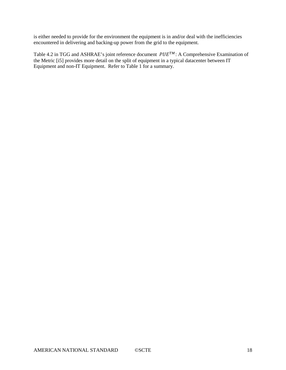is either needed to provide for the environment the equipment is in and/or deal with the inefficiencies encountered in delivering and backing-up power from the grid to the equipment.

Table 4.2 in TGG and ASHRAE's joint reference document  $PUE^{TM}$ : A Comprehensive Examination of the Metric [i5] provides more detail on the split of equipment in a typical datacenter between IT Equipment and non-IT Equipment. Refer to Table 1 for a summary.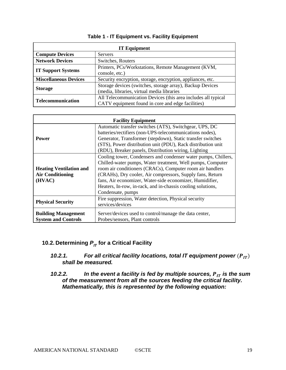| <b>IT Equipment</b>          |                                                                                                                    |  |  |
|------------------------------|--------------------------------------------------------------------------------------------------------------------|--|--|
| <b>Compute Devices</b>       | <b>Servers</b>                                                                                                     |  |  |
| <b>Network Devices</b>       | Switches, Routers                                                                                                  |  |  |
| <b>IT Support Systems</b>    | Printers, PCs/Workstations, Remote Management (KVM,<br>console, etc.)                                              |  |  |
| <b>Miscellaneous Devices</b> | Security encryption, storage, encryption, appliances, etc.                                                         |  |  |
| <b>Storage</b>               | Storage devices (switches, storage array), Backup Devices<br>(media, libraries, virtual media libraries            |  |  |
| Telecommunication            | All Telecommunication Devices (this area includes all typical<br>CATV equipment found in core and edge facilities) |  |  |

#### **Table 1 - IT Equipment vs. Facility Equipment**

| <b>Facility Equipment</b>                                           |                                                                                                                                                                                                                                                                                                                                                                                                        |  |  |
|---------------------------------------------------------------------|--------------------------------------------------------------------------------------------------------------------------------------------------------------------------------------------------------------------------------------------------------------------------------------------------------------------------------------------------------------------------------------------------------|--|--|
| <b>Power</b>                                                        | Automatic transfer switches (ATS), Switchgear, UPS, DC<br>batteries/rectifiers (non-UPS-telecommunications nodes),<br>Generator, Transformer (stepdown), Static transfer switches<br>(STS), Power distribution unit (PDU), Rack distribution unit<br>(RDU), Breaker panels, Distribution wiring, Lighting                                                                                              |  |  |
| <b>Heating Ventilation and</b><br><b>Air Conditioning</b><br>(HVAC) | Cooling tower, Condensers and condenser water pumps, Chillers,<br>Chilled-water pumps, Water treatment, Well pumps, Computer<br>room air conditioners (CRACs), Computer room air handlers<br>(CRAHs), Dry cooler, Air compressors, Supply fans, Return<br>fans, Air economizer, Water-side economizer, Humidifier,<br>Heaters, In-row, in-rack, and in-chassis cooling solutions,<br>Condensate, pumps |  |  |
| <b>Physical Security</b>                                            | Fire suppression, Water detection, Physical security<br>services/devices                                                                                                                                                                                                                                                                                                                               |  |  |
| <b>Building Management</b><br><b>System and Controls</b>            | Server/devices used to control/manage the data center,<br>Probes/sensors, Plant controls                                                                                                                                                                                                                                                                                                               |  |  |

## **10.2. Determining**  $P_{IT}$  **for a Critical Facility**

- *10.2.1. For all critical facility locations, total IT equipment power*  $(P_{IT})$ *shall be measured.*
- *10.2.2. In the event a facility is fed by multiple sources, P<sub>IT</sub> is the sum of the measurement from all the sources feeding the critical facility. Mathematically, this is represented by the following equation:*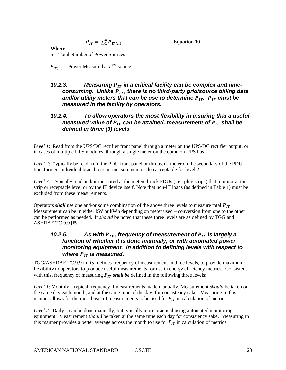$$
P_{IT} = \sum_{1}^{n} P_{IT(n)}
$$

**Equation 10**

## **Where**

*n* = Total Number of Power Sources

 $P_{IT(n)}$  = Power Measured at  $n^{th}$  source

## 10.2.3. Measuring  $P_{IT}$  in a critical facility can be complex and timeconsuming. Unlike  $P_{TF}$ , there is no third-party grid/source billing data *and/or utility meters that can be use to determine*  $P_{IT}$ *.*  $P_{IT}$  *must be measured in the facility by operators.*

## *10.2.4. To allow operators the most flexibility in insuring that a useful measured value of*  $P_{IT}$  *can be attained, measurement of*  $P_{IT}$  *shall be defined in three (3) levels*

*Level 1*: Read from the UPS/DC rectifier front panel through a meter on the UPS/DC rectifier output, or in cases of multiple UPS modules, through a single meter on the common UPS bus.

*Level 2*: Typically be read from the PDU front panel or through a meter on the secondary of the PDU transformer. Individual branch circuit measurement is also acceptable for level 2

*Level 3*: Typically read and/or measured at the metered-rack PDUs (i.e., plug strips) that monitor at the strip or receptacle level or by the IT device itself. Note that non-IT loads (as defined in Table 1) must be excluded from these measurements.

Operators *shall* use one and/or some combination of the above three levels to measure total  $P_{IT}$ . Measurement can be in either kW or kWh depending on meter used – conversion from one to the other can be performed as needed. It *should* be noted that these three levels are as defined by TGG and ASHRAE TC 9.9 [i5]

## *10.2.5.* As with  $P_{TF}$ , frequency of measurement of  $P_{IT}$  is largely a *function of whether it is done manually, or with automated power monitoring equipment. In addition to defining levels with respect to where*  $P_{IT}$  *is measured.*

TGG/ASHRAE TC 9.9 in [i5] defines frequency of measurement in three levels, to provide maximum flexibility to operators to produce useful measurements for use in energy efficiency metrics. Consistent with this, frequency of measuring  $P_{IT}$  shall be defined in the following three levels:

*Level 1*: Monthly – typical frequency if measurements made manually. Measurement *should* be taken on the same day each month, and at the same time of the day, for consistency sake. Measuring in this manner allows for the most basic of measurements to be used for  $P_{IT}$  in calculation of metrics

*Level 2*: Daily – can be done manually, but typically more practical using automated monitoring equipment. Measurement *should* be taken at the same time each day for consistency sake. Measuring in this manner provides a better average across the month to use for  $P_{IT}$  in calculation of metrics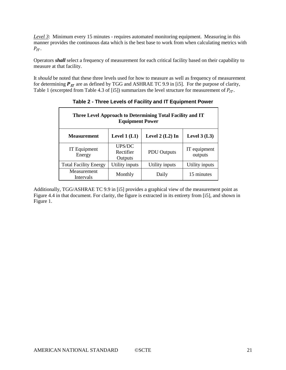*Level 3*: Minimum every 15 minutes - requires automated monitoring equipment. Measuring in this manner provides the continuous data which is the best base to work from when calculating metrics with  $P_{IT}$ .

Operators *shall* select a frequency of measurement for each critical facility based on their capability to measure at that facility.

It *should* be noted that these three levels used for how to measure as well as frequency of measurement for determining  $P_{IT}$  are as defined by TGG and ASHRAE TC 9.9 in [i5]. For the purpose of clarity, Table 1 (excerpted from Table 4.3 of [i5]) summarizes the level structure for measurement of  $P_{IT}$ .

| Three Level Approach to Determining Total Facility and IT<br><b>Equipment Power</b> |                                       |                    |                         |
|-------------------------------------------------------------------------------------|---------------------------------------|--------------------|-------------------------|
| <b>Measurement</b>                                                                  | Level $1(L1)$                         | Level $2$ (L2) In  | Level $3(L3)$           |
| IT Equipment<br>Energy                                                              | <b>UPS/DC</b><br>Rectifier<br>Outputs | <b>PDU</b> Outputs | IT equipment<br>outputs |
| <b>Total Facility Energy</b>                                                        | Utility inputs                        | Utility inputs     | Utility inputs          |
| Measurement<br>Intervals                                                            | Monthly                               | Daily              | 15 minutes              |

**Table 2 - Three Levels of Facility and IT Equipment Power**

Additionally, TGG/ASHRAE TC 9.9 in [i5] provides a graphical view of the measurement point as Figure 4.4 in that document. For clarity, the figure is extracted in its entirety from [i5], and shown in Figure 1.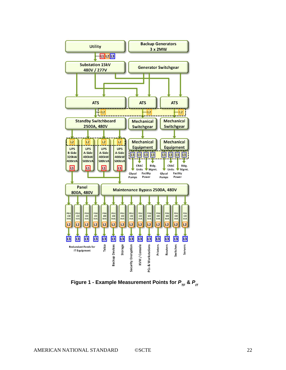

**Figure 1 - Example Measurement Points for**  $P_{TE}$  **&**  $P_{IT}$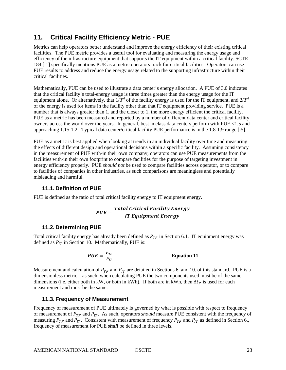## **11. Critical Facility Efficiency Metric - PUE**

Metrics can help operators better understand and improve the energy efficiency of their existing critical facilities. The PUE metric provides a useful tool for evaluating and measuring the energy usage and efficiency of the infrastructure equipment that supports the IT equipment within a critical facility. SCTE 184 [i1] specifically mentions PUE as a metric operators track for critical facilities. Operators can use PUE results to address and reduce the energy usage related to the supporting infrastructure within their critical facilities.

Mathematically, PUE can be used to illustrate a data center's energy allocation. A PUE of 3.0 indicates that the critical facility's total-energy usage is three times greater than the energy usage for the IT equipment alone. Or alternatively, that  $1/3^{rd}$  of the facility energy is used for the IT equipment, and  $2/3^{rd}$ of the energy is used for items in the facility other than that IT equipment providing service. PUE is a number that is always greater than 1, and the closer to 1, the more energy efficient the critical facility. PUE as a metric has been measured and reported by a number of different data center and critical facility owners across the world over the years. In general, best in class data centers perform with PUE <1.5 and approaching 1.15-1.2. Typical data center/critical facility PUE performance is in the 1.8-1.9 range [i5].

PUE as a metric is best applied when looking at trends in an individual facility over time and measuring the effects of different design and operational decisions within a specific facility. Assuming consistency in the measurement of PUE with-in their own company, operators can use PUE measurements from the facilities with-in their own footprint to compare facilities for the purpose of targeting investment in energy efficiency properly. PUE *should not* be used to compare facilities across operator, or to compare to facilities of companies in other industries, as such comparisons are meaningless and potentially misleading and harmful.

## **11.1. Definition of PUE**

PUE is defined as the ratio of total critical facility energy to IT equipment energy.

$$
PUE = \frac{Total \ Critical \ Facility \ Energy}{IT \ Equipment \ Energy}
$$

## <span id="page-22-0"></span>**11.2. Determining PUE**

Total critical facility energy has already been defined as  $P_{TF}$  in Section [6.1.](#page-7-1) IT equipment energy was defined as  $P_{IT}$  in Section [10.](#page-16-0) Mathematically, PUE is:

$$
PUE = \frac{P_{TF}}{P_{IT}} \qquad \qquad \text{Equation 11}
$$

Measurement and calculation of  $P_{TF}$  and  $P_{IT}$  are detailed in Sections [6.](#page-7-2) and [10.](#page-16-0) of this standard. PUE is a dimensionless metric – as such, when calculating PUE the two components used must be of the same dimensions (i.e. either both in kW, or both in kWh). If both are in kWh, then  $\Delta t_p$  is used for each measurement and must be the same.

### **11.3. Frequency of Measurement**

Frequency of measurement of PUE ultimately is governed by what is possible with respect to frequency of measurement of  $P_{TF}$  and  $P_{IT}$ . As such, operators *should* measure PUE consistent with the frequency of measuring  $P_{TF}$  and  $P_{IT}$ . Consistent with measurement of frequency  $P_{TF}$  and  $P_{IT}$  as defined in Sectio[n 6.](#page-7-2), frequency of measurement for PUE *shall* be defined in three levels.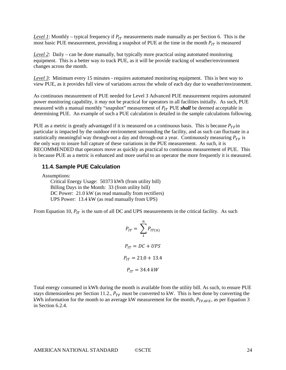*Level 1*: Monthly – typical frequency if  $P_{IT}$  measurements made manually as per Section [6.](#page-7-2) This is the most basic PUE measurement, providing a snapshot of PUE at the time in the month  $P_{IT}$  is measured

*Level 2*: Daily – can be done manually, but typically more practical using automated monitoring equipment. This is a better way to track PUE, as it will be provide tracking of weather/environment changes across the month.

*Level 3*: Minimum every 15 minutes - requires automated monitoring equipment. This is best way to view PUE, as it provides full view of variations across the whole of each day due to weather/environment.

As continuous measurement of PUE needed for Level 3 Advanced PUE measurement requires automated power monitoring capability, it *may* not be practical for operators in all facilities initially. As such, PUE measured with a manual monthly "snapshot" measurement of  $P_{IT}$  PUE *shall* be deemed acceptable in determining PUE. An example of such a PUE calculation is detailed in the sample calculations following.

PUE as a metric is greatly advantaged if it is measured on a continuous basis. This is because  $P_{TF}$  in particular is impacted by the outdoor environment surrounding the facility, and as such can fluctuate in a statistically meaningful way through-out a day and through-out a year. Continuously measuring  $P_{TF}$  is the only way to insure full capture of these variations in the PUE measurement. As such, it is RECOMMENDED that operators move as quickly as practical to continuous measurement of PUE. This is because PUE as a metric is enhanced and more useful to an operator the more frequently it is measured.

#### **11.4. Sample PUE Calculation**

Assumptions:

Critical Energy Usage: 50373 kWh (from utility bill) Billing Days in the Month: 33 (from utility bill) DC Power:  $21.0 \text{ kW}$  (as read manually from rectifiers) UPS Power: 13.4 kW (as read manually from UPS)

From Equation 10,  $P_{IT}$  is the sum of all DC and UPS measurements in the critical facility. As such

$$
P_{IT} = \sum_{1}^{n} P_{IT(n)}
$$
  

$$
P_{IT} = DC + UPS
$$
  

$$
P_{IT} = 21.0 + 13.4
$$
  

$$
P_{IT} = 34.4 \text{ kW}
$$

Total energy consumed in kWh during the month is available from the utility bill. As such, to ensure PUE stays dimensionless per Section [11.2.](#page-22-0),  $P_{TF}$  must be converted to kW. This is best done by converting the kWh information for the month to an average kW measurement for the month,  $P_{TFAVE}$ , as per Equation 3 in Section [6.2.4.](#page-9-0)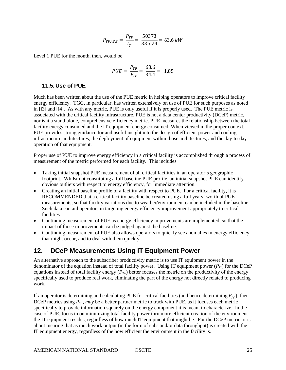$$
P_{TFAVE} = \frac{P_{TF}}{t_p} = \frac{50373}{33 \times 24} = 63.6 \, kW
$$

Level 1 PUE for the month, then, would be

$$
PUE = \frac{P_{TF}}{P_{IT}} = \frac{63.6}{34.4} = 1.85
$$

#### **11.5. Use of PUE**

Much has been written about the use of the PUE metric in helping operators to improve critical facility energy efficiency. TGG, in particular, has written extensively on use of PUE for such purposes as noted in [i3] and [i4]. As with any metric, PUE is only useful if it is properly used. The PUE metric is associated with the critical facility infrastructure. PUE is not a data center productivity (DCeP) metric, nor is it a stand-alone, comprehensive efficiency metric. PUE measures the relationship between the total facility energy consumed and the IT equipment energy consumed. When viewed in the proper context, PUE provides strong guidance for and useful insight into the design of efficient power and cooling infrastructure architectures, the deployment of equipment within those architectures, and the day-to-day operation of that equipment.

Proper use of PUE to improve energy efficiency in a critical facility is accomplished through a process of measurement of the metric performed for each facility. This includes

- Taking initial snapshot PUE measurement of all critical facilities in an operator's geographic footprint. Whilst not constituting a full baseline PUE profile, an initial snapshot PUE can identify obvious outliers with respect to energy efficiency, for immediate attention.
- Creating an initial baseline profile of a facility with respect to PUE. For a critical facility, it is RECOMMENDED that a critical facility baseline be created using a full years' worth of PUE measurements, so that facility variations due to weather/environment can be included in the baseline. Such data can aid operators in targeting energy efficiency improvement appropriately to critical facilities
- Continuing measurement of PUE as energy efficiency improvements are implemented, so that the impact of those improvements can be judged against the baseline.
- Continuing measurement of PUE also allows operators to quickly see anomalies in energy efficiency that might occur, and to deal with them quickly.

## **12. DCeP Measurements Using IT Equipment Power**

An alternative approach to the subscriber productivity metric is to use IT equipment power in the denominator of the equation instead of total facility power. Using IT equipment power  $(P_{IT})$  for the DCeP equations instead of total facility energy  $(P_{TF})$  better focuses the metric on the productivity of the energy specifically used to produce real work, eliminating the part of the energy not directly related to producing work.

If an operator is determining and calculating PUE for critical facilities (and hence determining  $P_{IT}$ ), then DCeP metrics using  $P_{IT}$ , *may* be a better partner metric to track with PUE, as it focuses each metric specifically to provide information squarely on the energy component it is meant to characterize. In the case of PUE, focus in on minimizing total facility power thru more efficient creation of the environment the IT equipment resides, regardless of how much IT equipment that might be. For the DCeP metric, it is about insuring that as much work output (in the form of subs and/or data throughput) is created with the IT equipment energy, regardless of the how efficient the environment in the facility is.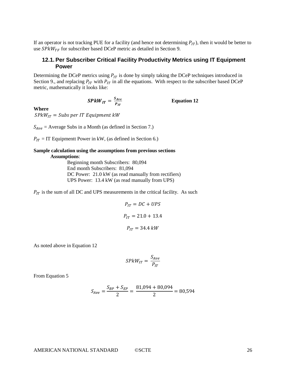If an operator is not tracking PUE for a facility (and hence not determining  $P_{IT}$ ), then it would be better to use  $SPkW_{TF}$  for subscriber based DCeP metric as detailed in Section [9.](#page-13-1)

### **12.1. Per Subscriber Critical Facility Productivity Metrics using IT Equipment Power**

Determining the DCeP metrics using  $P_{IT}$  is done by simply taking the DCeP techniques introduced in Sectio[n 9.](#page-13-1), and replacing  $P_{IT}$  with  $P_{IT}$  in all the equations. With respect to the subscriber based DCeP metric, mathematically it looks like:

$$
SPkW_{IT} = \frac{S_{Ave}}{P_{IT}}
$$

**Equation 12**

#### **Where**

 $SPkW_{IT} = Subs per IT Equation$ 

 $S_{Ave}$  = Average Subs in a Month (as defined in Section [7.](#page-10-0))

 $P_{IT}$  = IT Equipmentt Power in kW, (as defined in Section [6.](#page-7-2))

#### **Sample calculation using the assumptions from previous sections Assumptions**:

Beginning month Subscribers: 80,094 End month Subscribers: 81,094 DC Power:  $21.0 \text{ kW}$  (as read manually from rectifiers) UPS Power: 13.4 kW (as read manually from UPS)

 $P_{IT}$  is the sum of all DC and UPS measurements in the critical facility. As such

$$
P_{IT} = DC + UPS
$$
  

$$
P_{IT} = 21.0 + 13.4
$$
  

$$
P_{IT} = 34.4 \text{ kW}
$$

As noted above in Equation 12

$$
SPkW_{IT} = \frac{S_{Ave}}{P_{IT}}
$$

From Equation 5

$$
S_{Ave} = \frac{S_{BP} + S_{EP}}{2} = \frac{81,094 + 80,094}{2} = 80,594
$$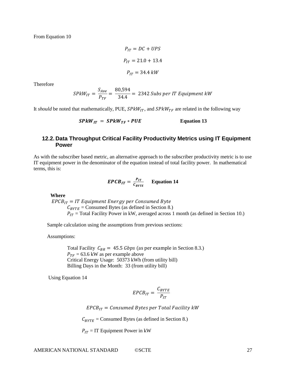From Equation 10

$$
P_{IT} = DC + UPS
$$
  

$$
P_{IT} = 21.0 + 13.4
$$
  

$$
P_{IT} = 34.4 \, kW
$$

Therefore

$$
SPkW_{IT} = \frac{S_{Ave}}{P_{TF}} = \frac{80,594}{34.4} = 2342 \text{ Subs per IT Equipment kW}
$$

It *should* be noted that mathematically, PUE,  $SPkW_{IT}$ , and  $SPkW_{TF}$  are related in the following way

$$
SPkW_{IT} = SPkW_{TF} * PUE
$$
 Equation 13

#### **12.2. Data Throughput Critical Facility Productivity Metrics using IT Equipment Power**

As with the subscriber based metric, an alternative approach to the subscriber productivity metric is to use IT equipment power in the denominator of the equation instead of total facility power. In mathematical terms, this is:

$$
EPCB_{IT} = \frac{P_{IT}}{C_{BYTE}} \qquad \text{Equation 14}
$$

**Where**

 $EPCB_{IT} = IT$  Equipment Energy per Consumed Byte  $C_{BYTE}$  = Consumed Bytes (as defined in Section [8.](#page-11-1))  $P_{IT}$  = Total Facility Power in kW, averaged across 1 month (as defined in Section [10.](#page-16-0))

Sample calculation using the assumptions from previous sections:

Assumptions:

Total Facility  $C_{BR} = 45.5 \text{ Gbps}$  (as per example in Section [8.3.](#page-13-0))  $P_{TF} = 63.6$  kW as per example above Critical Energy Usage: 50373 kWh (from utility bill) Billing Days in the Month: 33 (from utility bill)

Using Equation 14

$$
EPCB_{IT} = \frac{C_{BYTE}}{P_{IT}}
$$

 $EPCB_{IT} =$  Consumed Bytes per Total Facility kW

 $C_{BYTE}$  = Consumed Bytes (as defined in Section [8.](#page-11-1))

 $P_{IT}$  = IT Equipment Power in kW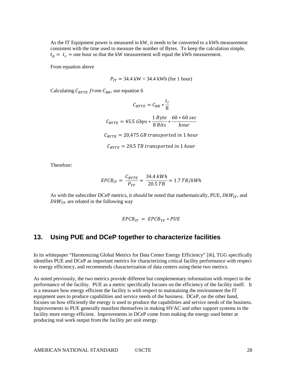As the IT Equipment power is measured in kW, it needs to be converted to a kWh measurement consistent with the time used to measure the number of Bytes. To keep the calculation simple,  $t_n = t_c$  = one hour so that the kW measurement will equal the kWh measurement.

From equation above

 $P_{IT}$  = 34.4 kW = 34.4 kWh (for 1 hour)

Calculating  $C_{BYTE}$  from  $C_{BR}$ , use equation 6

$$
C_{BYTE} = C_{BR} * \frac{t_c}{8}
$$
  

$$
C_{BYTE} = 45.5 \text{ Gbps} * \frac{1 \text{ Byte}}{8 \text{ Bits}} * \frac{60 * 60 \text{ sec}}{\text{hour}}
$$
  

$$
C_{BYTE} = 20,475 \text{ GB transported in 1 hour}
$$
  

$$
C_{BYTE} = 20.5 \text{ TB transported in 1 hour}
$$

Therefore:

$$
EPCB_{IT} = \frac{C_{BYTE}}{P_{TF}} = \frac{34.4 \; kWh}{20.5 \; TB} = 1.7 \; TB/kWh
$$

As with the subscriber DCeP metrics, it *should* be noted that mathematically, PUE,  $DkW_{IT}$ , and  $DKW_{TF}$  are related in the following way

$$
EPCB_{IT} = EPCB_{TF} * PUE
$$

## **13. Using PUE and DCeP together to characterize facilities**

In its whitepaper "Harmonizing Global Metrics for Data Center Energy Efficiency" [i6], TGG specifically identifies PUE and DCeP as important metrics for characterizing critical facility performance with respect to energy efficiency, and recommends characterization of data centers using these two metrics.

As noted previously, the two metrics provide different but complementary information with respect to the performance of the facility. PUE as a metric specifically focuses on the efficiency of the facility itself. It is a measure how energy efficient the facility is with respect to maintaining the environment the IT equipment uses to produce capabilities and service needs of the business. DCeP, on the other hand, focuses on how efficiently the energy is used to produce the capabilities and service needs of the business. Improvements in PUE generally manifest themselves in making HVAC and other support systems in the facility more energy efficient. Improvements in DCeP come from making the energy used better at producing real work output from the facility per unit energy.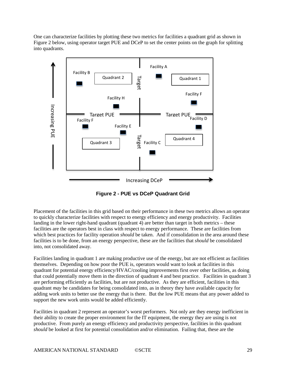One can characterize facilities by plotting these two metrics for facilities a quadrant grid as shown in Figure 2 below, using operator target PUE and DCeP to set the center points on the graph for splitting into quadrants.



**Figure 2 - PUE vs DCeP Quadrant Grid**

Placement of the facilities in this grid based on their performance in these two metrics allows an operator to quickly characterize facilities with respect to energy efficiency and energy productivity. Facilities landing in the lower right-hand quadrant (quadrant 4) are better than target in both metrics – these facilities are the operators best in class with respect to energy performance. These are facilities from which best practices for facility operation *should* be taken. And if consolidation in the area around these facilities is to be done, from an energy perspective, these are the facilities that *should* be consolidated into, not consolidated away.

Facilities landing in quadrant 1 are making productive use of the energy, but are not efficient as facilities themselves. Depending on how poor the PUE is, operators would want to look at facilities in this quadrant for potential energy efficiency/HVAC/cooling improvements first over other facilities, as doing that could potentially move them in the direction of quadrant 4 and best practice. Facilities in quadrant 3 are performing efficiently as facilities, but are not productive. As they are efficient, facilities in this quadrant *may* be candidates for being consolidated into, as in theory they have available capacity for adding work units to better use the energy that is there. But the low PUE means that any power added to support the new work units would be added efficiently.

Facilities in quadrant 2 represent an operator's worst performers. Not only are they energy inefficient in their ability to create the proper environment for the IT equipment, the energy they are using is not productive. From purely an energy efficiency and productivity perspective, facilities in this quadrant